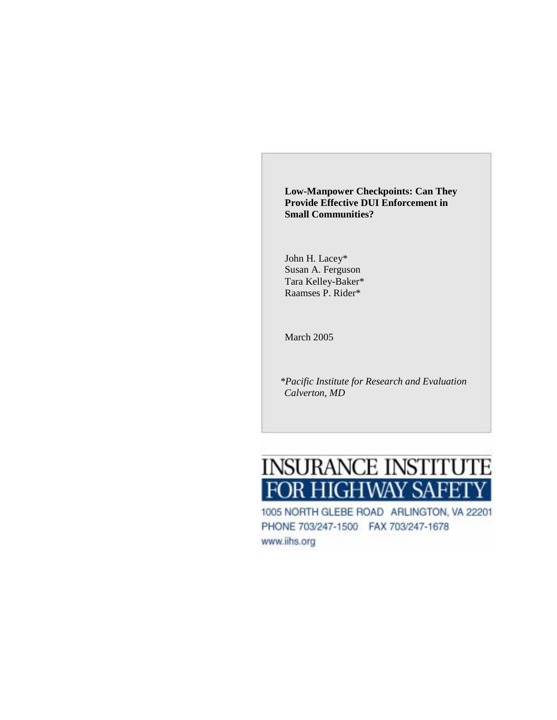**Low-Manpower Checkpoints: Can They Provide Effective DUI Enforcement in Small Communities?** 

John H. Lacey\* Susan A. Ferguson Tara Kelley-Baker\* Raamses P. Rider\*

March 2005

*\*Pacific Institute for Research and Evaluation Calverton, MD* 

# **INSURANCE INSTITUTE DR HIGHWAY SAFET**

1005 NORTH GLEBE ROAD ARLINGTON, VA 22201 PHONE 703/247-1500 FAX 703/247-1678 www.iihs.org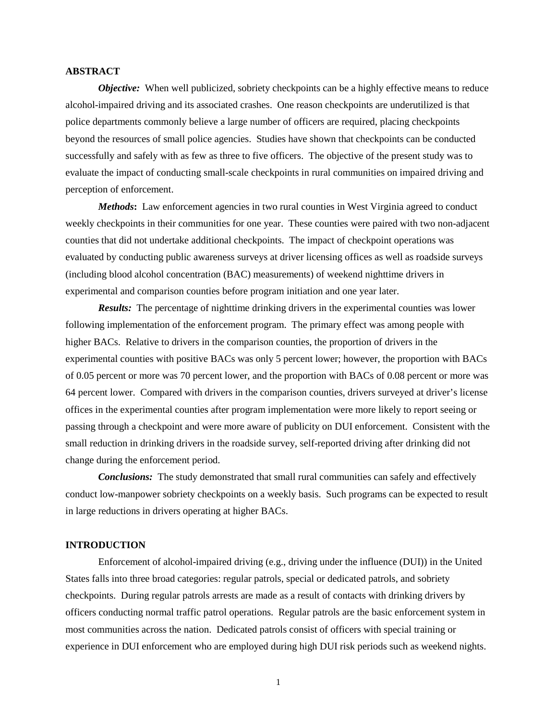# **ABSTRACT**

*Objective:* When well publicized, sobriety checkpoints can be a highly effective means to reduce alcohol-impaired driving and its associated crashes. One reason checkpoints are underutilized is that police departments commonly believe a large number of officers are required, placing checkpoints beyond the resources of small police agencies. Studies have shown that checkpoints can be conducted successfully and safely with as few as three to five officers. The objective of the present study was to evaluate the impact of conducting small-scale checkpoints in rural communities on impaired driving and perception of enforcement.

*Methods***:** Law enforcement agencies in two rural counties in West Virginia agreed to conduct weekly checkpoints in their communities for one year. These counties were paired with two non-adjacent counties that did not undertake additional checkpoints. The impact of checkpoint operations was evaluated by conducting public awareness surveys at driver licensing offices as well as roadside surveys (including blood alcohol concentration (BAC) measurements) of weekend nighttime drivers in experimental and comparison counties before program initiation and one year later.

*Results:* The percentage of nighttime drinking drivers in the experimental counties was lower following implementation of the enforcement program. The primary effect was among people with higher BACs. Relative to drivers in the comparison counties, the proportion of drivers in the experimental counties with positive BACs was only 5 percent lower; however, the proportion with BACs of 0.05 percent or more was 70 percent lower, and the proportion with BACs of 0.08 percent or more was 64 percent lower. Compared with drivers in the comparison counties, drivers surveyed at driver's license offices in the experimental counties after program implementation were more likely to report seeing or passing through a checkpoint and were more aware of publicity on DUI enforcement. Consistent with the small reduction in drinking drivers in the roadside survey, self-reported driving after drinking did not change during the enforcement period.

*Conclusions:* The study demonstrated that small rural communities can safely and effectively conduct low-manpower sobriety checkpoints on a weekly basis. Such programs can be expected to result in large reductions in drivers operating at higher BACs.

# **INTRODUCTION**

Enforcement of alcohol-impaired driving (e.g., driving under the influence (DUI)) in the United States falls into three broad categories: regular patrols, special or dedicated patrols, and sobriety checkpoints. During regular patrols arrests are made as a result of contacts with drinking drivers by officers conducting normal traffic patrol operations. Regular patrols are the basic enforcement system in most communities across the nation. Dedicated patrols consist of officers with special training or experience in DUI enforcement who are employed during high DUI risk periods such as weekend nights.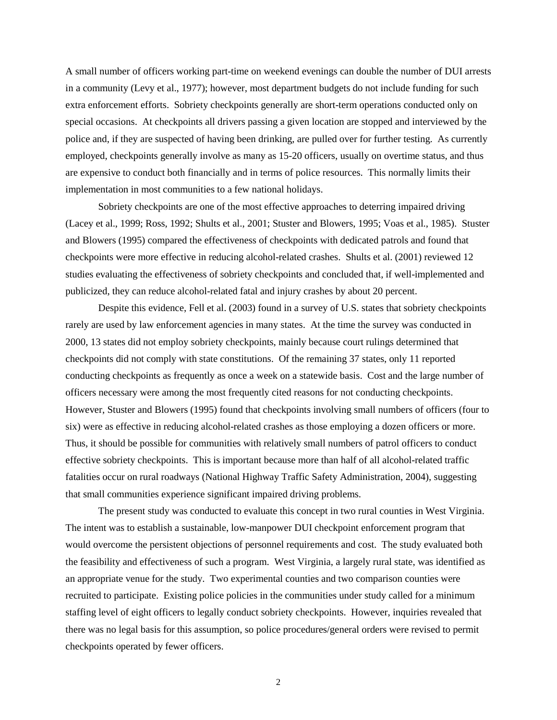A small number of officers working part-time on weekend evenings can double the number of DUI arrests in a community (Levy et al., 1977); however, most department budgets do not include funding for such extra enforcement efforts. Sobriety checkpoints generally are short-term operations conducted only on special occasions. At checkpoints all drivers passing a given location are stopped and interviewed by the police and, if they are suspected of having been drinking, are pulled over for further testing. As currently employed, checkpoints generally involve as many as 15-20 officers, usually on overtime status, and thus are expensive to conduct both financially and in terms of police resources. This normally limits their implementation in most communities to a few national holidays.

Sobriety checkpoints are one of the most effective approaches to deterring impaired driving (Lacey et al., 1999; Ross, 1992; Shults et al., 2001; Stuster and Blowers, 1995; Voas et al., 1985). Stuster and Blowers (1995) compared the effectiveness of checkpoints with dedicated patrols and found that checkpoints were more effective in reducing alcohol-related crashes. Shults et al. (2001) reviewed 12 studies evaluating the effectiveness of sobriety checkpoints and concluded that, if well-implemented and publicized, they can reduce alcohol-related fatal and injury crashes by about 20 percent.

Despite this evidence, Fell et al. (2003) found in a survey of U.S. states that sobriety checkpoints rarely are used by law enforcement agencies in many states. At the time the survey was conducted in 2000, 13 states did not employ sobriety checkpoints, mainly because court rulings determined that checkpoints did not comply with state constitutions. Of the remaining 37 states, only 11 reported conducting checkpoints as frequently as once a week on a statewide basis. Cost and the large number of officers necessary were among the most frequently cited reasons for not conducting checkpoints. However, Stuster and Blowers (1995) found that checkpoints involving small numbers of officers (four to six) were as effective in reducing alcohol-related crashes as those employing a dozen officers or more. Thus, it should be possible for communities with relatively small numbers of patrol officers to conduct effective sobriety checkpoints. This is important because more than half of all alcohol-related traffic fatalities occur on rural roadways (National Highway Traffic Safety Administration, 2004), suggesting that small communities experience significant impaired driving problems.

The present study was conducted to evaluate this concept in two rural counties in West Virginia. The intent was to establish a sustainable, low-manpower DUI checkpoint enforcement program that would overcome the persistent objections of personnel requirements and cost. The study evaluated both the feasibility and effectiveness of such a program. West Virginia, a largely rural state, was identified as an appropriate venue for the study. Two experimental counties and two comparison counties were recruited to participate. Existing police policies in the communities under study called for a minimum staffing level of eight officers to legally conduct sobriety checkpoints. However, inquiries revealed that there was no legal basis for this assumption, so police procedures/general orders were revised to permit checkpoints operated by fewer officers.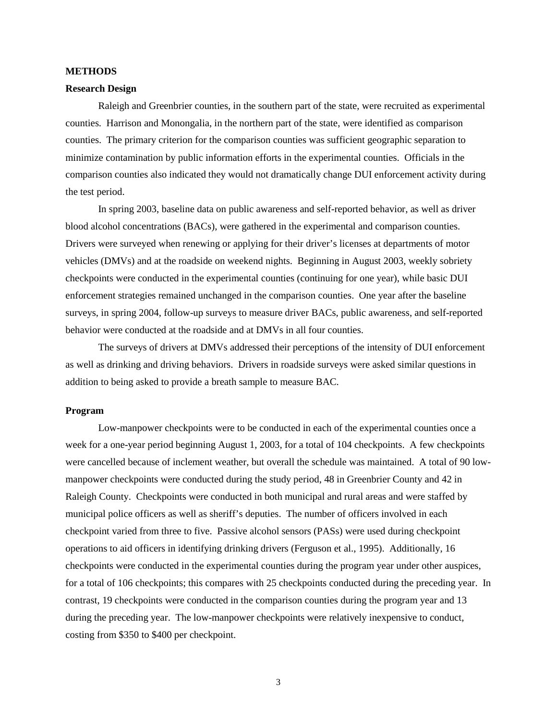#### **METHODS**

# **Research Design**

Raleigh and Greenbrier counties, in the southern part of the state, were recruited as experimental counties. Harrison and Monongalia, in the northern part of the state, were identified as comparison counties. The primary criterion for the comparison counties was sufficient geographic separation to minimize contamination by public information efforts in the experimental counties. Officials in the comparison counties also indicated they would not dramatically change DUI enforcement activity during the test period.

In spring 2003, baseline data on public awareness and self-reported behavior, as well as driver blood alcohol concentrations (BACs), were gathered in the experimental and comparison counties. Drivers were surveyed when renewing or applying for their driver's licenses at departments of motor vehicles (DMVs) and at the roadside on weekend nights. Beginning in August 2003, weekly sobriety checkpoints were conducted in the experimental counties (continuing for one year), while basic DUI enforcement strategies remained unchanged in the comparison counties. One year after the baseline surveys, in spring 2004, follow-up surveys to measure driver BACs, public awareness, and self-reported behavior were conducted at the roadside and at DMVs in all four counties.

The surveys of drivers at DMVs addressed their perceptions of the intensity of DUI enforcement as well as drinking and driving behaviors. Drivers in roadside surveys were asked similar questions in addition to being asked to provide a breath sample to measure BAC.

# **Program**

Low-manpower checkpoints were to be conducted in each of the experimental counties once a week for a one-year period beginning August 1, 2003, for a total of 104 checkpoints. A few checkpoints were cancelled because of inclement weather, but overall the schedule was maintained. A total of 90 lowmanpower checkpoints were conducted during the study period, 48 in Greenbrier County and 42 in Raleigh County. Checkpoints were conducted in both municipal and rural areas and were staffed by municipal police officers as well as sheriff's deputies. The number of officers involved in each checkpoint varied from three to five. Passive alcohol sensors (PASs) were used during checkpoint operations to aid officers in identifying drinking drivers (Ferguson et al., 1995). Additionally, 16 checkpoints were conducted in the experimental counties during the program year under other auspices, for a total of 106 checkpoints; this compares with 25 checkpoints conducted during the preceding year. In contrast, 19 checkpoints were conducted in the comparison counties during the program year and 13 during the preceding year. The low-manpower checkpoints were relatively inexpensive to conduct, costing from \$350 to \$400 per checkpoint.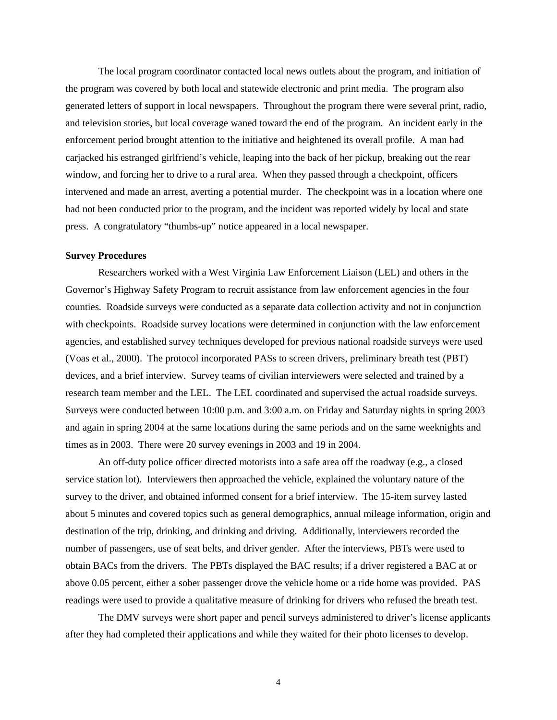The local program coordinator contacted local news outlets about the program, and initiation of the program was covered by both local and statewide electronic and print media. The program also generated letters of support in local newspapers. Throughout the program there were several print, radio, and television stories, but local coverage waned toward the end of the program. An incident early in the enforcement period brought attention to the initiative and heightened its overall profile. A man had carjacked his estranged girlfriend's vehicle, leaping into the back of her pickup, breaking out the rear window, and forcing her to drive to a rural area. When they passed through a checkpoint, officers intervened and made an arrest, averting a potential murder. The checkpoint was in a location where one had not been conducted prior to the program, and the incident was reported widely by local and state press. A congratulatory "thumbs-up" notice appeared in a local newspaper.

# **Survey Procedures**

Researchers worked with a West Virginia Law Enforcement Liaison (LEL) and others in the Governor's Highway Safety Program to recruit assistance from law enforcement agencies in the four counties. Roadside surveys were conducted as a separate data collection activity and not in conjunction with checkpoints. Roadside survey locations were determined in conjunction with the law enforcement agencies, and established survey techniques developed for previous national roadside surveys were used (Voas et al., 2000). The protocol incorporated PASs to screen drivers, preliminary breath test (PBT) devices, and a brief interview. Survey teams of civilian interviewers were selected and trained by a research team member and the LEL. The LEL coordinated and supervised the actual roadside surveys. Surveys were conducted between 10:00 p.m. and 3:00 a.m. on Friday and Saturday nights in spring 2003 and again in spring 2004 at the same locations during the same periods and on the same weeknights and times as in 2003. There were 20 survey evenings in 2003 and 19 in 2004.

An off-duty police officer directed motorists into a safe area off the roadway (e.g., a closed service station lot). Interviewers then approached the vehicle, explained the voluntary nature of the survey to the driver, and obtained informed consent for a brief interview. The 15-item survey lasted about 5 minutes and covered topics such as general demographics, annual mileage information, origin and destination of the trip, drinking, and drinking and driving. Additionally, interviewers recorded the number of passengers, use of seat belts, and driver gender. After the interviews, PBTs were used to obtain BACs from the drivers. The PBTs displayed the BAC results; if a driver registered a BAC at or above 0.05 percent, either a sober passenger drove the vehicle home or a ride home was provided. PAS readings were used to provide a qualitative measure of drinking for drivers who refused the breath test.

The DMV surveys were short paper and pencil surveys administered to driver's license applicants after they had completed their applications and while they waited for their photo licenses to develop.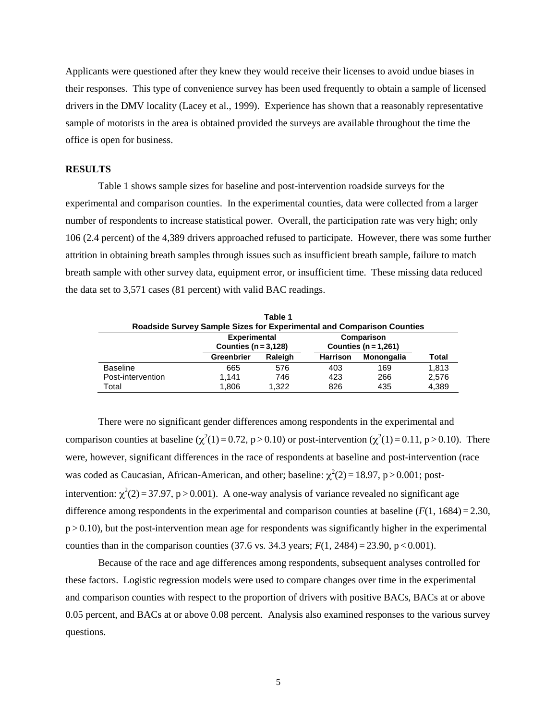Applicants were questioned after they knew they would receive their licenses to avoid undue biases in their responses. This type of convenience survey has been used frequently to obtain a sample of licensed drivers in the DMV locality (Lacey et al., 1999). Experience has shown that a reasonably representative sample of motorists in the area is obtained provided the surveys are available throughout the time the office is open for business.

## **RESULTS**

Table 1 shows sample sizes for baseline and post-intervention roadside surveys for the experimental and comparison counties. In the experimental counties, data were collected from a larger number of respondents to increase statistical power. Overall, the participation rate was very high; only 106 (2.4 percent) of the 4,389 drivers approached refused to participate. However, there was some further attrition in obtaining breath samples through issues such as insufficient breath sample, failure to match breath sample with other survey data, equipment error, or insufficient time. These missing data reduced the data set to 3,571 cases (81 percent) with valid BAC readings.

| Roadside Survey Sample Sizes for Experimental and Comparison Counties |                                                | Table 1 |                                        |            |              |
|-----------------------------------------------------------------------|------------------------------------------------|---------|----------------------------------------|------------|--------------|
|                                                                       | <b>Experimental</b><br>Counties $(n = 3, 128)$ |         | Comparison<br>Counties ( $n = 1,261$ ) |            |              |
|                                                                       | Raleigh<br><b>Greenbrier</b>                   |         | <b>Harrison</b>                        | Monongalia | <b>Total</b> |
| <b>Baseline</b>                                                       | 665                                            | 576     | 403                                    | 169        | 1.813        |
| Post-intervention                                                     | 1.141                                          | 746     | 423                                    | 266        | 2,576        |
| Total                                                                 | 1.806                                          | 1.322   | 826                                    | 435        | 4,389        |

There were no significant gender differences among respondents in the experimental and comparison counties at baseline ( $\chi^2(1) = 0.72$ , p > 0.10) or post-intervention ( $\chi^2(1) = 0.11$ , p > 0.10). There were, however, significant differences in the race of respondents at baseline and post-intervention (race was coded as Caucasian, African-American, and other; baseline:  $\chi^2(2) = 18.97$ , p > 0.001; postintervention:  $\chi^2(2) = 37.97$ , p > 0.001). A one-way analysis of variance revealed no significant age difference among respondents in the experimental and comparison counties at baseline  $(F(1, 1684) = 2.30$ ,  $p > 0.10$ ), but the post-intervention mean age for respondents was significantly higher in the experimental counties than in the comparison counties (37.6 vs. 34.3 years;  $F(1, 2484) = 23.90$ , p < 0.001).

Because of the race and age differences among respondents, subsequent analyses controlled for these factors. Logistic regression models were used to compare changes over time in the experimental and comparison counties with respect to the proportion of drivers with positive BACs, BACs at or above 0.05 percent, and BACs at or above 0.08 percent. Analysis also examined responses to the various survey questions.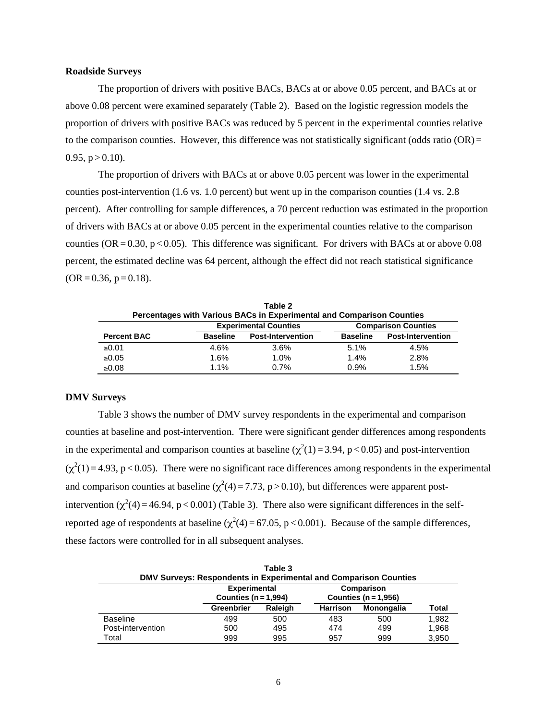# **Roadside Surveys**

The proportion of drivers with positive BACs, BACs at or above 0.05 percent, and BACs at or above 0.08 percent were examined separately (Table 2). Based on the logistic regression models the proportion of drivers with positive BACs was reduced by 5 percent in the experimental counties relative to the comparison counties. However, this difference was not statistically significant (odds ratio  $(OR)$ ) =  $0.95$ ,  $p > 0.10$ ).

The proportion of drivers with BACs at or above 0.05 percent was lower in the experimental counties post-intervention (1.6 vs. 1.0 percent) but went up in the comparison counties (1.4 vs. 2.8 percent). After controlling for sample differences, a 70 percent reduction was estimated in the proportion of drivers with BACs at or above 0.05 percent in the experimental counties relative to the comparison counties ( $OR = 0.30$ ,  $p < 0.05$ ). This difference was significant. For drivers with BACs at or above 0.08 percent, the estimated decline was 64 percent, although the effect did not reach statistical significance  $(OR = 0.36, p = 0.18).$ 

|                    |                 | Table 2<br>Percentages with Various BACs in Experimental and Comparison Counties |                 |                            |
|--------------------|-----------------|----------------------------------------------------------------------------------|-----------------|----------------------------|
|                    |                 | <b>Experimental Counties</b>                                                     |                 | <b>Comparison Counties</b> |
| <b>Percent BAC</b> | <b>Baseline</b> | <b>Post-Intervention</b>                                                         | <b>Baseline</b> | <b>Post-Intervention</b>   |
| ≥0.01              | 4.6%            | 3.6%                                                                             | 5.1%            | 4.5%                       |
| ≥0.05              | $1.6\%$         | 1.0%                                                                             | 1.4%            | 2.8%                       |
| $\geq 0.08$        | $1.1\%$         | 0.7%                                                                             | 0.9%            | 1.5%                       |

# **DMV Surveys**

Table 3 shows the number of DMV survey respondents in the experimental and comparison counties at baseline and post-intervention. There were significant gender differences among respondents in the experimental and comparison counties at baseline  $(\chi^2(1) = 3.94, p < 0.05)$  and post-intervention  $(\chi^2(1) = 4.93, p < 0.05)$ . There were no significant race differences among respondents in the experimental and comparison counties at baseline  $(\chi^2(4) = 7.73, p > 0.10)$ , but differences were apparent postintervention ( $\chi^2(4)$  = 46.94, p < 0.001) (Table 3). There also were significant differences in the selfreported age of respondents at baseline ( $\chi^2(4)$  = 67.05, p < 0.001). Because of the sample differences, these factors were controlled for in all subsequent analyses.

|                   | DMV Surveys: Respondents in Experimental and Comparison Counties | Table 3 |                                      |            |       |
|-------------------|------------------------------------------------------------------|---------|--------------------------------------|------------|-------|
|                   | <b>Experimental</b><br>Counties ( $n = 1.994$ )                  |         | Comparison<br>Counties $(n = 1.956)$ |            |       |
|                   | <b>Greenbrier</b>                                                | Raleigh |                                      | Monongalia | Total |
| <b>Baseline</b>   | 499                                                              | 500     | 483                                  | 500        | 1,982 |
| Post-intervention | 500                                                              | 495     | 474                                  | 499        | 1,968 |
| Total             | 999                                                              | 995     | 957                                  | 999        | 3,950 |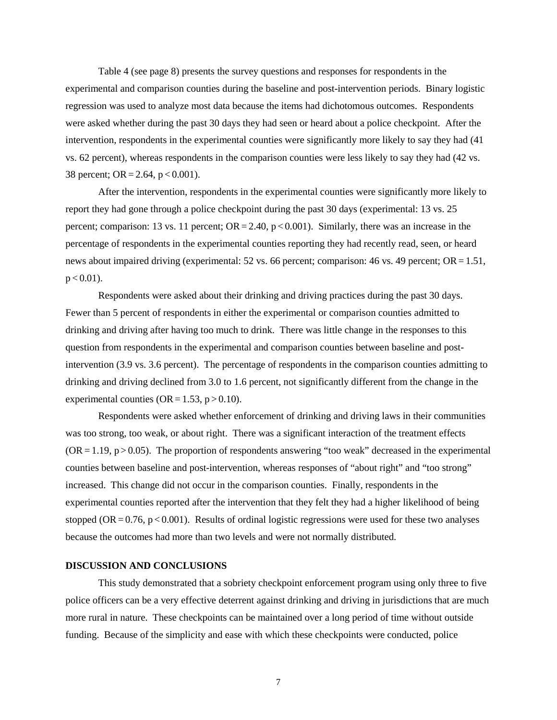Table 4 (see page 8) presents the survey questions and responses for respondents in the experimental and comparison counties during the baseline and post-intervention periods. Binary logistic regression was used to analyze most data because the items had dichotomous outcomes. Respondents were asked whether during the past 30 days they had seen or heard about a police checkpoint. After the intervention, respondents in the experimental counties were significantly more likely to say they had (41 vs. 62 percent), whereas respondents in the comparison counties were less likely to say they had (42 vs. 38 percent; OR = 2.64,  $p < 0.001$ ).

After the intervention, respondents in the experimental counties were significantly more likely to report they had gone through a police checkpoint during the past 30 days (experimental: 13 vs. 25 percent; comparison: 13 vs. 11 percent;  $OR = 2.40$ ,  $p < 0.001$ ). Similarly, there was an increase in the percentage of respondents in the experimental counties reporting they had recently read, seen, or heard news about impaired driving (experimental: 52 vs. 66 percent; comparison: 46 vs. 49 percent; OR = 1.51,  $p < 0.01$ ).

Respondents were asked about their drinking and driving practices during the past 30 days. Fewer than 5 percent of respondents in either the experimental or comparison counties admitted to drinking and driving after having too much to drink. There was little change in the responses to this question from respondents in the experimental and comparison counties between baseline and postintervention (3.9 vs. 3.6 percent). The percentage of respondents in the comparison counties admitting to drinking and driving declined from 3.0 to 1.6 percent, not significantly different from the change in the experimental counties ( $OR = 1.53$ ,  $p > 0.10$ ).

Respondents were asked whether enforcement of drinking and driving laws in their communities was too strong, too weak, or about right. There was a significant interaction of the treatment effects  $(OR = 1.19, p > 0.05)$ . The proportion of respondents answering "too weak" decreased in the experimental counties between baseline and post-intervention, whereas responses of "about right" and "too strong" increased. This change did not occur in the comparison counties. Finally, respondents in the experimental counties reported after the intervention that they felt they had a higher likelihood of being stopped (OR  $= 0.76$ , p  $< 0.001$ ). Results of ordinal logistic regressions were used for these two analyses because the outcomes had more than two levels and were not normally distributed.

# **DISCUSSION AND CONCLUSIONS**

This study demonstrated that a sobriety checkpoint enforcement program using only three to five police officers can be a very effective deterrent against drinking and driving in jurisdictions that are much more rural in nature. These checkpoints can be maintained over a long period of time without outside funding. Because of the simplicity and ease with which these checkpoints were conducted, police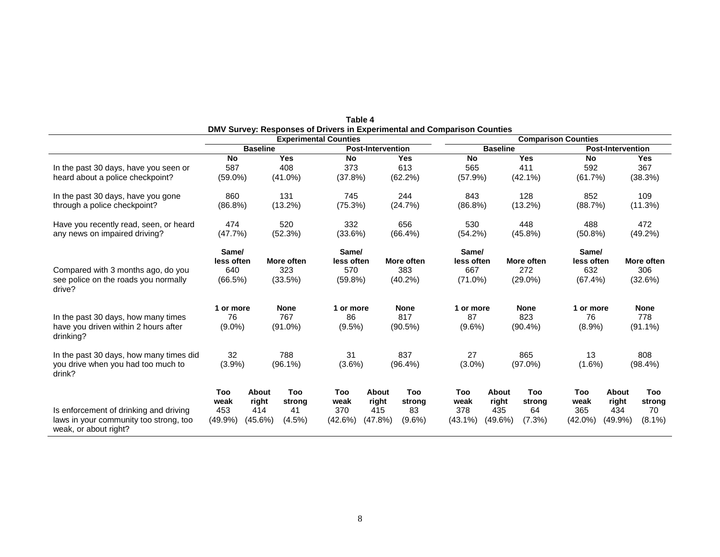|                                                                                                           | <b>Experimental Counties</b>          |                                            |                                     | DMV Survey: Responses of Drivers in Experimental and Comparison Counties<br><b>Comparison Counties</b> |                                         |                                         |                                          |                                         |                                  |                                       |                                 |                                  |
|-----------------------------------------------------------------------------------------------------------|---------------------------------------|--------------------------------------------|-------------------------------------|--------------------------------------------------------------------------------------------------------|-----------------------------------------|-----------------------------------------|------------------------------------------|-----------------------------------------|----------------------------------|---------------------------------------|---------------------------------|----------------------------------|
|                                                                                                           | <b>Baseline</b>                       |                                            | <b>Post-Intervention</b>            |                                                                                                        | <b>Baseline</b>                         |                                         | <b>Post-Intervention</b>                 |                                         |                                  |                                       |                                 |                                  |
| In the past 30 days, have you seen or<br>heard about a police checkpoint?                                 | <b>No</b><br>587<br>$(59.0\%)$        |                                            | <b>Yes</b><br>408<br>$(41.0\%)$     | <b>No</b><br>373<br>(37.8%)                                                                            |                                         | <b>Yes</b><br>613<br>(62.2%)            | <b>No</b><br>565<br>(57.9%)              |                                         | <b>Yes</b><br>411<br>$(42.1\%)$  | <b>No</b><br>592<br>(61.7%)           |                                 | <b>Yes</b><br>367<br>(38.3%)     |
| In the past 30 days, have you gone<br>through a police checkpoint?                                        | 860<br>$(86.8\%)$                     |                                            | 131<br>(13.2%)                      | 745<br>(75.3%)                                                                                         |                                         | 244<br>(24.7%)                          | 843<br>(86.8%)                           |                                         | 128<br>(13.2%)                   | 852<br>(88.7%)                        |                                 | 109<br>(11.3%)                   |
| Have you recently read, seen, or heard<br>any news on impaired driving?                                   | 474<br>(47.7%                         |                                            | 520<br>(52.3%)                      | 332<br>(33.6%)                                                                                         |                                         | 656<br>$(66.4\%)$                       | 530<br>(54.2%)                           |                                         | 448<br>(45.8%)                   | 488<br>$(50.8\%)$                     |                                 | 472<br>(49.2%)                   |
| Compared with 3 months ago, do you<br>see police on the roads you normally<br>drive?                      | Same/<br>less often<br>640<br>(66.5%) |                                            | <b>More often</b><br>323<br>(33.5%) | Same/<br>less often<br>570<br>(59.8%)                                                                  |                                         | More often<br>383<br>$(40.2\%)$         | Same/<br>less often<br>667<br>$(71.0\%)$ |                                         | More often<br>272<br>$(29.0\%)$  | Same/<br>less often<br>632<br>(67.4%) |                                 | More often<br>306<br>(32.6%)     |
| In the past 30 days, how many times<br>have you driven within 2 hours after<br>drinking?                  | 1 or more<br>76<br>$(9.0\%)$          |                                            | <b>None</b><br>767<br>$(91.0\%)$    | 1 or more<br>86<br>$(9.5\%)$                                                                           |                                         | <b>None</b><br>817<br>(90.5%)           | 1 or more<br>87<br>$(9.6\%)$             |                                         | <b>None</b><br>823<br>$(90.4\%)$ | 1 or more<br>76<br>$(8.9\%)$          |                                 | <b>None</b><br>778<br>$(91.1\%)$ |
| In the past 30 days, how many times did<br>you drive when you had too much to<br>drink?                   | 32<br>(3.9%)                          |                                            | 788<br>$(96.1\%)$                   | 31<br>$(3.6\%)$                                                                                        |                                         | 837<br>$(96.4\%)$                       | 27<br>$(3.0\%)$                          |                                         | 865<br>$(97.0\%)$                | 13<br>$(1.6\%)$                       |                                 | 808<br>$(98.4\%)$                |
| Is enforcement of drinking and driving<br>laws in your community too strong, too<br>weak, or about right? | Too<br>weak<br>453<br>(49.9%          | <b>About</b><br>right<br>414<br>$(45.6\%)$ | Too<br>strong<br>41<br>$(4.5\%)$    | Too<br>weak<br>370<br>(42.6%)                                                                          | <b>About</b><br>right<br>415<br>(47.8%) | <b>Too</b><br>strong<br>83<br>$(9.6\%)$ | Too<br>weak<br>378<br>$(43.1\%)$         | <b>About</b><br>right<br>435<br>(49.6%) | Too<br>strong<br>64<br>$(7.3\%)$ | Too<br>weak<br>365<br>$(42.0\%)$      | About<br>right<br>434<br>(49.9% | Too<br>strong<br>70<br>$(8.1\%)$ |

| Table 4                                                                  |
|--------------------------------------------------------------------------|
| DMV Survey: Responses of Drivers in Experimental and Comparison Counties |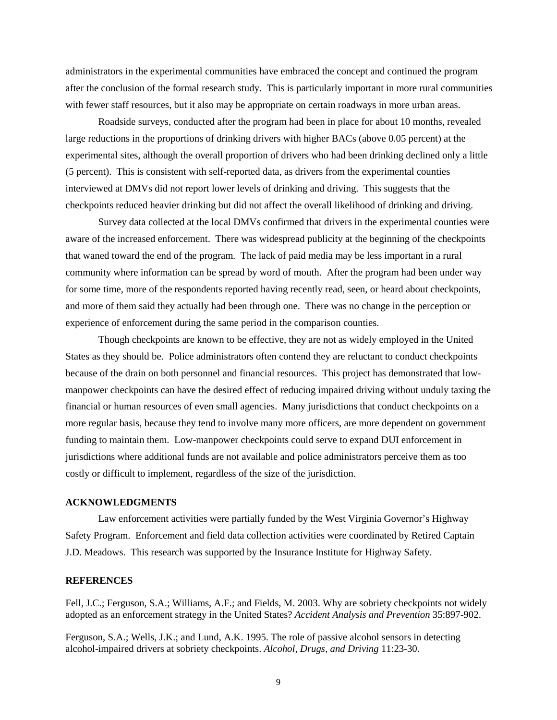administrators in the experimental communities have embraced the concept and continued the program after the conclusion of the formal research study. This is particularly important in more rural communities with fewer staff resources, but it also may be appropriate on certain roadways in more urban areas.

Roadside surveys, conducted after the program had been in place for about 10 months, revealed large reductions in the proportions of drinking drivers with higher BACs (above 0.05 percent) at the experimental sites, although the overall proportion of drivers who had been drinking declined only a little (5 percent). This is consistent with self-reported data, as drivers from the experimental counties interviewed at DMVs did not report lower levels of drinking and driving. This suggests that the checkpoints reduced heavier drinking but did not affect the overall likelihood of drinking and driving.

Survey data collected at the local DMVs confirmed that drivers in the experimental counties were aware of the increased enforcement. There was widespread publicity at the beginning of the checkpoints that waned toward the end of the program. The lack of paid media may be less important in a rural community where information can be spread by word of mouth. After the program had been under way for some time, more of the respondents reported having recently read, seen, or heard about checkpoints, and more of them said they actually had been through one. There was no change in the perception or experience of enforcement during the same period in the comparison counties.

Though checkpoints are known to be effective, they are not as widely employed in the United States as they should be. Police administrators often contend they are reluctant to conduct checkpoints because of the drain on both personnel and financial resources. This project has demonstrated that lowmanpower checkpoints can have the desired effect of reducing impaired driving without unduly taxing the financial or human resources of even small agencies. Many jurisdictions that conduct checkpoints on a more regular basis, because they tend to involve many more officers, are more dependent on government funding to maintain them. Low-manpower checkpoints could serve to expand DUI enforcement in jurisdictions where additional funds are not available and police administrators perceive them as too costly or difficult to implement, regardless of the size of the jurisdiction.

#### **ACKNOWLEDGMENTS**

Law enforcement activities were partially funded by the West Virginia Governor's Highway Safety Program. Enforcement and field data collection activities were coordinated by Retired Captain J.D. Meadows. This research was supported by the Insurance Institute for Highway Safety.

# **REFERENCES**

Fell, J.C.; Ferguson, S.A.; Williams, A.F.; and Fields, M. 2003. Why are sobriety checkpoints not widely adopted as an enforcement strategy in the United States? *Accident Analysis and Prevention* 35:897-902.

Ferguson, S.A.; Wells, J.K.; and Lund, A.K. 1995. The role of passive alcohol sensors in detecting alcohol-impaired drivers at sobriety checkpoints. *Alcohol, Drugs, and Driving* 11:23-30.